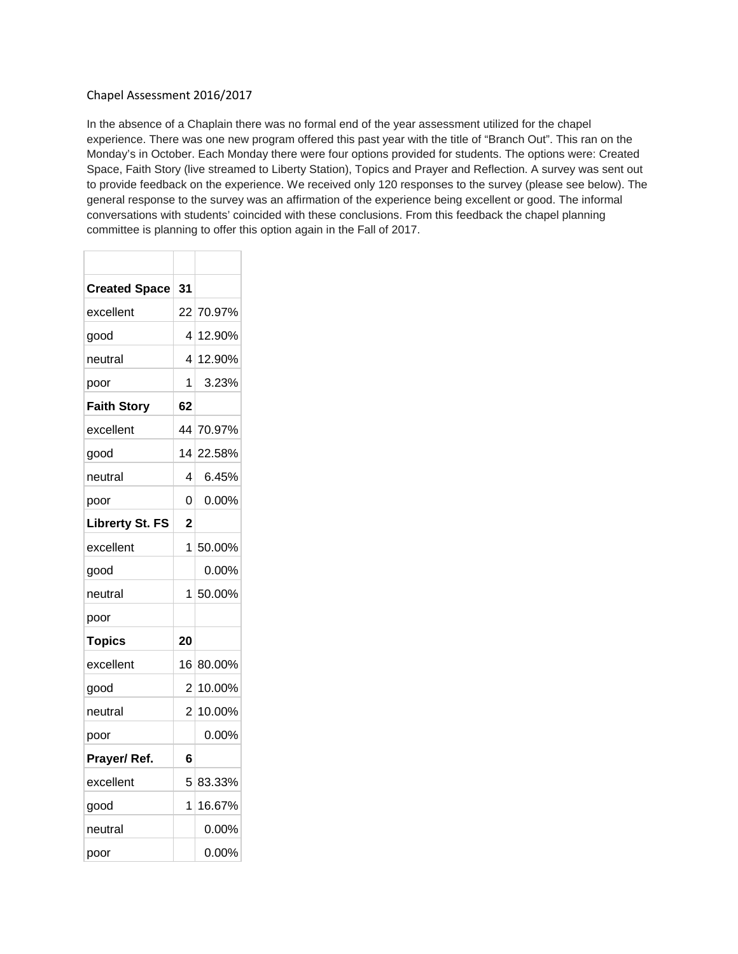#### Chapel Assessment 2016/2017

In the absence of a Chaplain there was no formal end of the year assessment utilized for the chapel experience. There was one new program offered this past year with the title of "Branch Out". This ran on the Monday's in October. Each Monday there were four options provided for students. The options were: Created Space, Faith Story (live streamed to Liberty Station), Topics and Prayer and Reflection. A survey was sent out to provide feedback on the experience. We received only 120 responses to the survey (please see below). The general response to the survey was an affirmation of the experience being excellent or good. The informal conversations with students' coincided with these conclusions. From this feedback the chapel planning committee is planning to offer this option again in the Fall of 2017.

| <b>Created Space</b>   | 31 |           |  |
|------------------------|----|-----------|--|
| excellent              |    | 22 70.97% |  |
| good                   | 4  | 12.90%    |  |
| neutral                | 4  | 12.90%    |  |
| poor                   | 1  | 3.23%     |  |
| <b>Faith Story</b>     | 62 |           |  |
| excellent              | 44 | 70.97%    |  |
| good                   | 14 | 22.58%    |  |
| neutral                | 4  | 6.45%     |  |
| poor                   | 0  | 0.00%     |  |
| <b>Librerty St. FS</b> | 2  |           |  |
| excellent              | 1  | 50.00%    |  |
| good                   |    | 0.00%     |  |
| neutral                | 1  | 50.00%    |  |
| poor                   |    |           |  |
| <b>Topics</b>          | 20 |           |  |
| excellent              | 16 | 80.00%    |  |
| good                   | 2  | 10.00%    |  |
| neutral                | 2  | 10.00%    |  |
| poor                   |    | $0.00\%$  |  |
| Prayer/Ref.            | 6  |           |  |
| excellent              | 5  | 83.33%    |  |
| good                   | 1  | 16.67%    |  |
| neutral                |    | 0.00%     |  |
| poor                   |    | 0.00%     |  |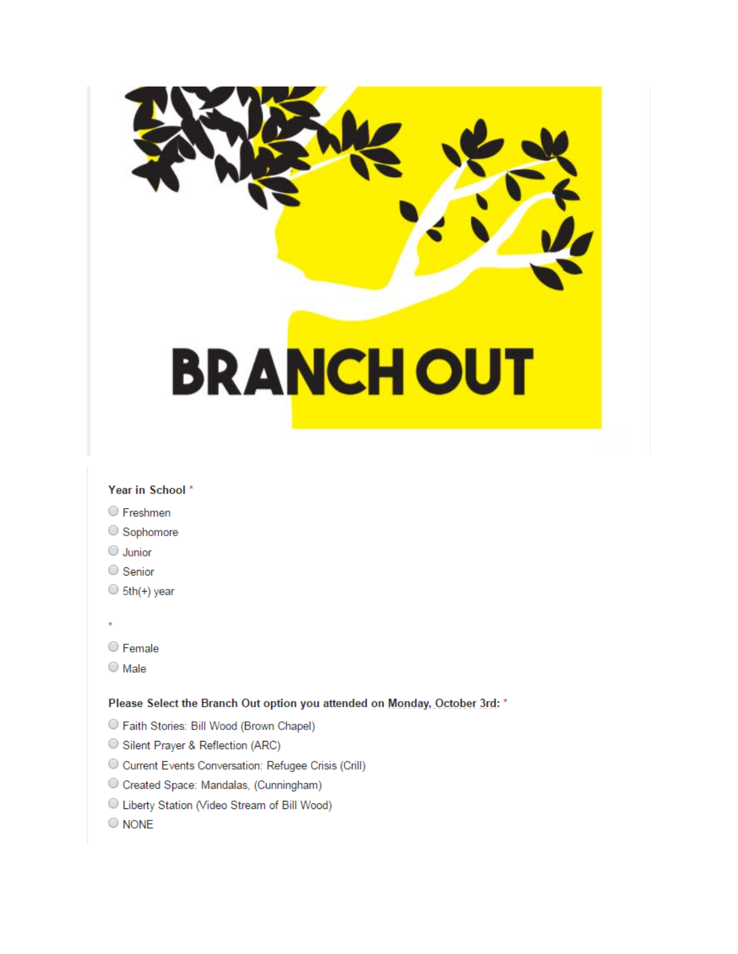# **BRANCHOUT**

### Year in School\*

- Freshmen
- Sophomore
- $\bigcirc$  Junior
- Senior
- $\circ$  5th(+) year
- 
- C Female
- $\bigcirc$  Male

#### Please Select the Branch Out option you attended on Monday, October 3rd: \*

- Raith Stories: Bill Wood (Brown Chapel)
- Silent Prayer & Reflection (ARC)
- C Current Events Conversation: Refugee Crisis (Crill)
- Created Space: Mandalas, (Cunningham)
- C Liberty Station (Video Stream of Bill Wood)
- $\bigcirc$  NONE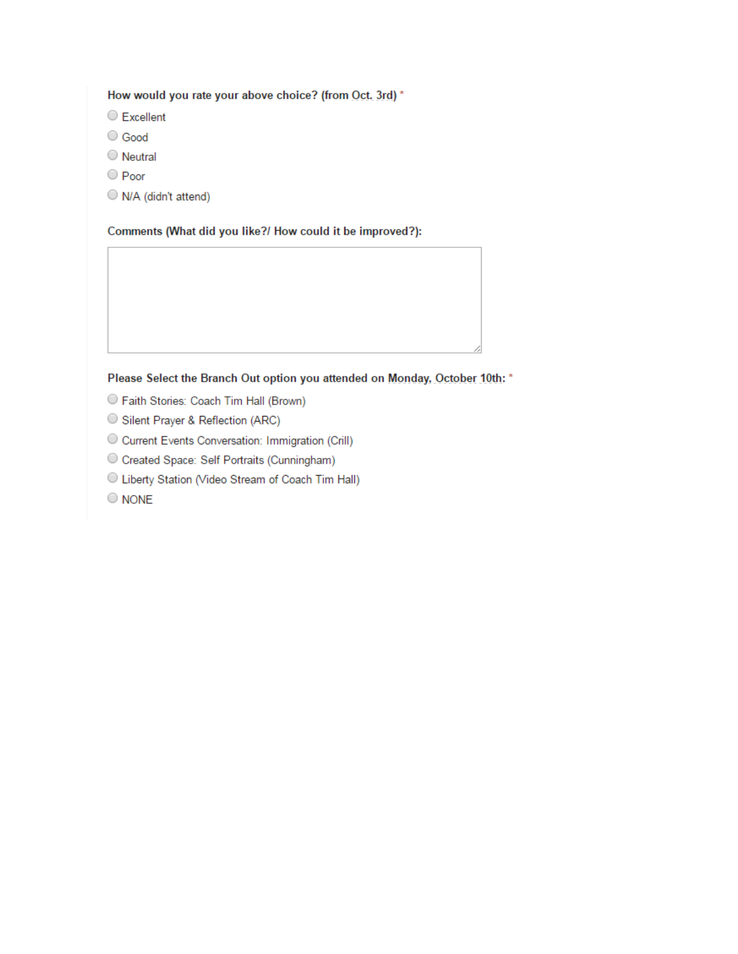# How would you rate your above choice? (from Oct. 3rd) \*

- C Excellent
- Good
- O Neutral
- O Poor
- N/A (didn't attend)

#### Comments (What did you like?/ How could it be improved?):

# Please Select the Branch Out option you attended on Monday, October 10th: \*

- C Faith Stories: Coach Tim Hall (Brown)
- Silent Prayer & Reflection (ARC)
- $\bigcirc$  Current Events Conversation: Immigration (Crill)
- Created Space: Self Portraits (Cunningham)
- C Liberty Station (Video Stream of Coach Tim Hall)
- $\bigcirc$  NONE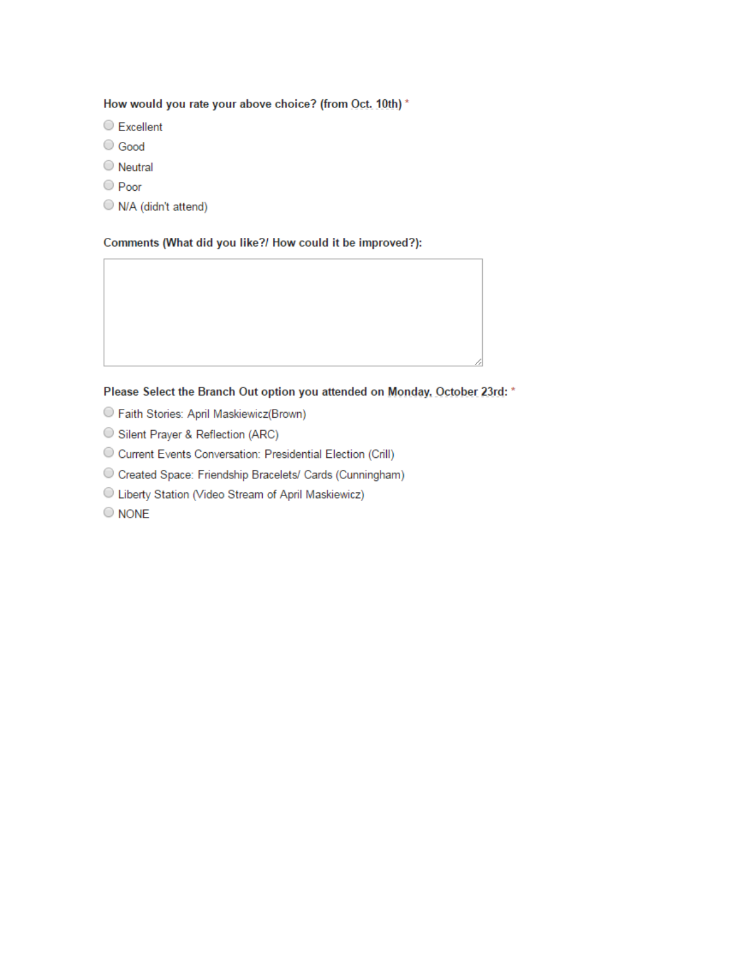### How would you rate your above choice? (from Oct. 10th) \*

- C Excellent
- Good
- O Neutral
- O Poor
- N/A (didn't attend)

#### Comments (What did you like?/ How could it be improved?):

#### Please Select the Branch Out option you attended on Monday, October 23rd: \*

- O Faith Stories: April Maskiewicz(Brown)
- Silent Prayer & Reflection (ARC)
- O Current Events Conversation: Presidential Election (Crill)
- O Created Space: Friendship Bracelets/ Cards (Cunningham)
- C Liberty Station (Video Stream of April Maskiewicz)
- $\bigcirc$  NONE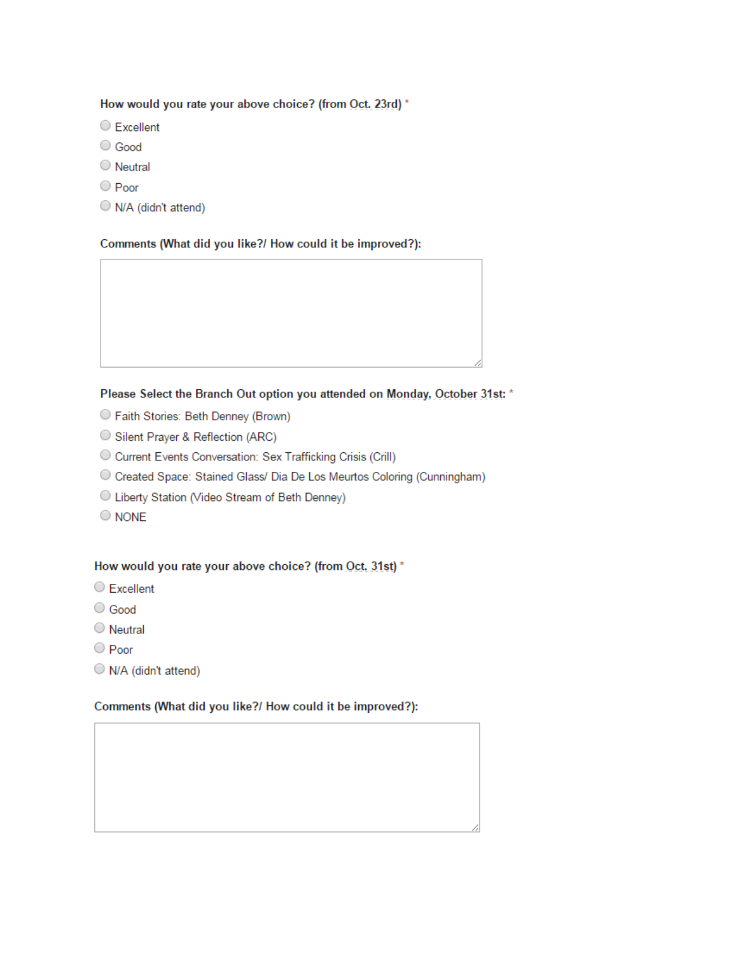#### How would you rate your above choice? (from Oct. 23rd) \*

- C Excellent
- Good
- O Neutral
- O Poor
- N/A (didn't attend)

#### Comments (What did you like?/ How could it be improved?):

#### Please Select the Branch Out option you attended on Monday, October 31st: \*

- Raith Stories: Beth Denney (Brown)
- Silent Prayer & Reflection (ARC)
- O Current Events Conversation: Sex Trafficking Crisis (Crill)
- O Created Space: Stained Glass/ Dia De Los Meurtos Coloring (Cunningham)
- C Liberty Station (Video Stream of Beth Denney)
- $\bigcirc$  NONE

# How would you rate your above choice? (from Oct. 31st) \*

- C Excellent
- C Good
- $\bigcirc$  Neutral
- O Poor
- N/A (didn't attend)

# Comments (What did you like?/ How could it be improved?):